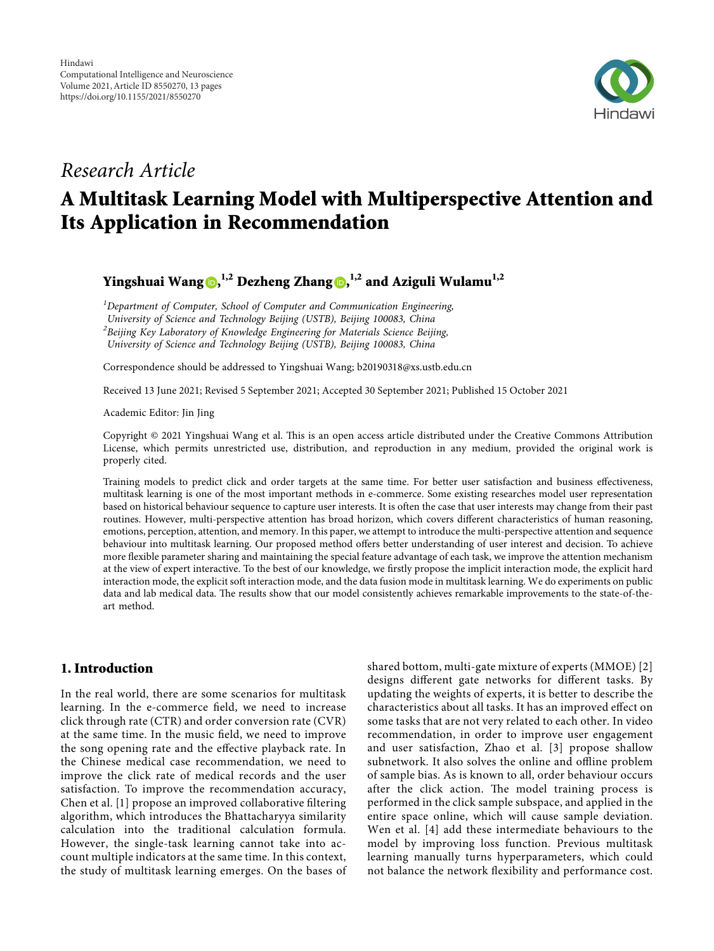

## *Research Article*

# **A Multitask Learning Model with Multiperspective Attention and Its Application in Recommendation**

**Yingshuai Wang [,](https://orcid.org/0000-0001-5457-3240) 1,2 Dezheng Zhang , 1,2 and Aziguli Wulamu1,2**

*1 Department of Computer, School of Computer and Communication Engineering, University of Science and Technology Beijing (USTB), Beijing 100083, China 2 Beijing Key Laboratory of Knowledge Engineering for Materials Science Beijing, University of Science and Technology Beijing (USTB), Beijing 100083, China*

Correspondence should be addressed to Yingshuai Wang; [b20190318@xs.ustb.edu.cn](mailto:b20190318@xs.ustb.edu.cn)

Received 13 June 2021; Revised 5 September 2021; Accepted 30 September 2021; Published 15 October 2021

Academic Editor: Jin Jing

Copyright © 2021 Yingshuai Wang et al. This is an open access article distributed under the [Creative Commons Attribution](https://creativecommons.org/licenses/by/4.0/) [License,](https://creativecommons.org/licenses/by/4.0/) which permits unrestricted use, distribution, and reproduction in any medium, provided the original work is properly cited.

Training models to predict click and order targets at the same time. For better user satisfaction and business effectiveness, multitask learning is one of the most important methods in e-commerce. Some existing researches model user representation based on historical behaviour sequence to capture user interests. It is often the case that user interests may change from their past routines. However, multi-perspective attention has broad horizon, which covers different characteristics of human reasoning, emotions, perception, attention, and memory. In this paper, we attempt to introduce the multi-perspective attention and sequence behaviour into multitask learning. Our proposed method offers better understanding of user interest and decision. To achieve more flexible parameter sharing and maintaining the special feature advantage of each task, we improve the attention mechanism at the view of expert interactive. To the best of our knowledge, we firstly propose the implicit interaction mode, the explicit hard interaction mode, the explicit soft interaction mode, and the data fusion mode in multitask learning. We do experiments on public data and lab medical data. The results show that our model consistently achieves remarkable improvements to the state-of-theart method.

## **1. Introduction**

In the real world, there are some scenarios for multitask learning. In the e-commerce field, we need to increase click through rate (CTR) and order conversion rate (CVR) at the same time. In the music field, we need to improve the song opening rate and the effective playback rate. In the Chinese medical case recommendation, we need to improve the click rate of medical records and the user satisfaction. To improve the recommendation accuracy, Chen et al. [[1](#page-11-0)] propose an improved collaborative filtering algorithm, which introduces the Bhattacharyya similarity calculation into the traditional calculation formula. However, the single-task learning cannot take into account multiple indicators at the same time. In this context, the study of multitask learning emerges. On the bases of

shared bottom, multi-gate mixture of experts (MMOE) [[2\]](#page-12-0) designs different gate networks for different tasks. By updating the weights of experts, it is better to describe the characteristics about all tasks. It has an improved effect on some tasks that are not very related to each other. In video recommendation, in order to improve user engagement and user satisfaction, Zhao et al. [\[3](#page-12-0)] propose shallow subnetwork. It also solves the online and offline problem of sample bias. As is known to all, order behaviour occurs after the click action. The model training process is performed in the click sample subspace, and applied in the entire space online, which will cause sample deviation. Wen et al. [[4\]](#page-12-0) add these intermediate behaviours to the model by improving loss function. Previous multitask learning manually turns hyperparameters, which could not balance the network flexibility and performance cost.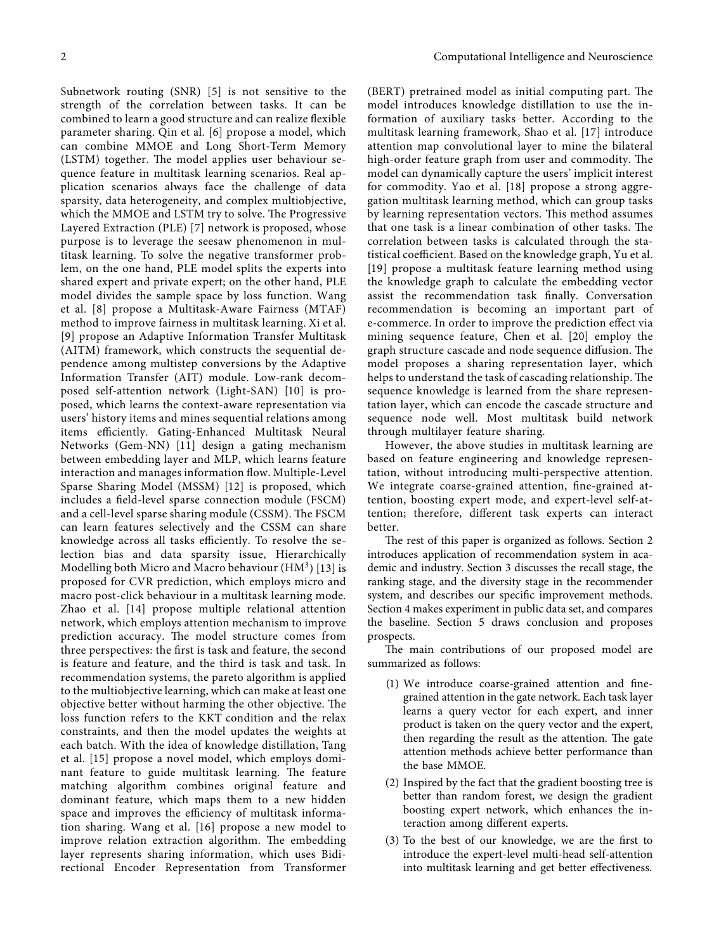Subnetwork routing (SNR) [[5](#page-12-0)] is not sensitive to the strength of the correlation between tasks. It can be combined to learn a good structure and can realize flexible parameter sharing. Qin et al. [[6\]](#page-12-0) propose a model, which can combine MMOE and Long Short-Term Memory (LSTM) together. The model applies user behaviour sequence feature in multitask learning scenarios. Real application scenarios always face the challenge of data sparsity, data heterogeneity, and complex multiobjective, which the MMOE and LSTM try to solve. The Progressive Layered Extraction (PLE) [[7\]](#page-12-0) network is proposed, whose purpose is to leverage the seesaw phenomenon in multitask learning. To solve the negative transformer problem, on the one hand, PLE model splits the experts into shared expert and private expert; on the other hand, PLE model divides the sample space by loss function. Wang et al. [[8](#page-12-0)] propose a Multitask-Aware Fairness (MTAF) method to improve fairness in multitask learning. Xi et al. [[9\]](#page-12-0) propose an Adaptive Information Transfer Multitask (AITM) framework, which constructs the sequential dependence among multistep conversions by the Adaptive Information Transfer (AIT) module. Low-rank decomposed self-attention network (Light-SAN) [[10](#page-12-0)] is proposed, which learns the context-aware representation via users' history items and mines sequential relations among items efficiently. Gating-Enhanced Multitask Neural Networks (Gem-NN) [[11](#page-12-0)] design a gating mechanism between embedding layer and MLP, which learns feature interaction and manages information flow. Multiple-Level Sparse Sharing Model (MSSM) [\[12\]](#page-12-0) is proposed, which includes a field-level sparse connection module (FSCM) and a cell-level sparse sharing module (CSSM). The FSCM can learn features selectively and the CSSM can share knowledge across all tasks efficiently. To resolve the selection bias and data sparsity issue, Hierarchically Modelling both Micro and Macro behaviour  $(HM<sup>3</sup>)$  [\[13\]](#page-12-0) is proposed for CVR prediction, which employs micro and macro post-click behaviour in a multitask learning mode. Zhao et al. [[14](#page-12-0)] propose multiple relational attention network, which employs attention mechanism to improve prediction accuracy. The model structure comes from three perspectives: the first is task and feature, the second is feature and feature, and the third is task and task. In recommendation systems, the pareto algorithm is applied to the multiobjective learning, which can make at least one objective better without harming the other objective. The loss function refers to the KKT condition and the relax constraints, and then the model updates the weights at each batch. With the idea of knowledge distillation, Tang et al. [[15](#page-12-0)] propose a novel model, which employs dominant feature to guide multitask learning. The feature matching algorithm combines original feature and dominant feature, which maps them to a new hidden space and improves the efficiency of multitask information sharing. Wang et al. [[16](#page-12-0)] propose a new model to improve relation extraction algorithm. The embedding layer represents sharing information, which uses Bidirectional Encoder Representation from Transformer

 $(BERT)$  pretrained model as initial computing part. The model introduces knowledge distillation to use the information of auxiliary tasks better. According to the multitask learning framework, Shao et al. [\[17\]](#page-12-0) introduce attention map convolutional layer to mine the bilateral high-order feature graph from user and commodity. The model can dynamically capture the users' implicit interest for commodity. Yao et al. [[18\]](#page-12-0) propose a strong aggregation multitask learning method, which can group tasks by learning representation vectors. This method assumes that one task is a linear combination of other tasks. The correlation between tasks is calculated through the statistical coefficient. Based on the knowledge graph, Yu et al. [[19](#page-12-0)] propose a multitask feature learning method using the knowledge graph to calculate the embedding vector assist the recommendation task finally. Conversation recommendation is becoming an important part of e-commerce. In order to improve the prediction effect via mining sequence feature, Chen et al. [[20\]](#page-12-0) employ the graph structure cascade and node sequence diffusion. The model proposes a sharing representation layer, which helps to understand the task of cascading relationship. The sequence knowledge is learned from the share representation layer, which can encode the cascade structure and sequence node well. Most multitask build network through multilayer feature sharing.

However, the above studies in multitask learning are based on feature engineering and knowledge representation, without introducing multi-perspective attention. We integrate coarse-grained attention, fine-grained attention, boosting expert mode, and expert-level self-attention; therefore, different task experts can interact better.

The rest of this paper is organized as follows. Section [2](#page-2-0) introduces application of recommendation system in academic and industry. Section [3](#page-3-0) discusses the recall stage, the ranking stage, and the diversity stage in the recommender system, and describes our specific improvement methods. Section [4](#page-7-0) makes experiment in public data set, and compares the baseline. Section [5](#page-11-0) draws conclusion and proposes prospects.

The main contributions of our proposed model are summarized as follows:

- (1) We introduce coarse-grained attention and finegrained attention in the gate network. Each task layer learns a query vector for each expert, and inner product is taken on the query vector and the expert, then regarding the result as the attention. The gate attention methods achieve better performance than the base MMOE.
- (2) Inspired by the fact that the gradient boosting tree is better than random forest, we design the gradient boosting expert network, which enhances the interaction among different experts.
- (3) To the best of our knowledge, we are the first to introduce the expert-level multi-head self-attention into multitask learning and get better effectiveness.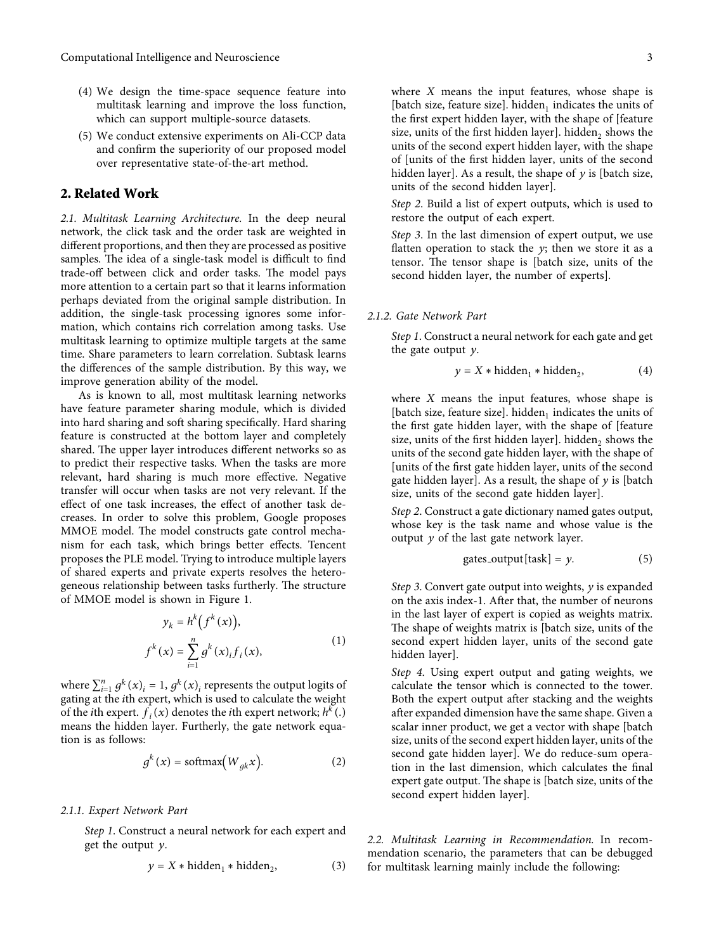- <span id="page-2-0"></span>(4) We design the time-space sequence feature into multitask learning and improve the loss function, which can support multiple-source datasets.
- (5) We conduct extensive experiments on Ali-CCP data and confirm the superiority of our proposed model over representative state-of-the-art method.

## **2. Related Work**

*2.1. Multitask Learning Architecture.* In the deep neural network, the click task and the order task are weighted in different proportions, and then they are processed as positive samples. The idea of a single-task model is difficult to find trade-off between click and order tasks. The model pays more attention to a certain part so that it learns information perhaps deviated from the original sample distribution. In addition, the single-task processing ignores some information, which contains rich correlation among tasks. Use multitask learning to optimize multiple targets at the same time. Share parameters to learn correlation. Subtask learns the differences of the sample distribution. By this way, we improve generation ability of the model.

As is known to all, most multitask learning networks have feature parameter sharing module, which is divided into hard sharing and soft sharing specifically. Hard sharing feature is constructed at the bottom layer and completely shared. The upper layer introduces different networks so as to predict their respective tasks. When the tasks are more relevant, hard sharing is much more effective. Negative transfer will occur when tasks are not very relevant. If the effect of one task increases, the effect of another task decreases. In order to solve this problem, Google proposes MMOE model. The model constructs gate control mechanism for each task, which brings better effects. Tencent proposes the PLE model. Trying to introduce multiple layers of shared experts and private experts resolves the heterogeneous relationship between tasks furtherly. The structure of MMOE model is shown in Figure [1.](#page-3-0)

$$
y_k = h^k(f^k(x)),
$$
  

$$
f^k(x) = \sum_{i=1}^n g^k(x)_i f_i(x),
$$
 (1)

where  $\sum_{i=1}^{n} g^k(x)_i = 1$ ,  $g^k(x)_i$  represents the output logits of gating at the *i*th expert, which is used to calculate the weight of the *i*th expert.  $\overline{f}_i(x)$  denotes the *i*th expert network;  $h^k(.)$ means the hidden layer. Furtherly, the gate network equation is as follows:

$$
g^{k}(x) = \text{softmax}\big(W_{gk}x\big).
$$
 (2)

#### *2.1.1. Expert Network Part*

*Step 1*. Construct a neural network for each expert and get the output *y*.

$$
y = X * hidden_1 * hidden_2,
$$
 (3)

where *X* means the input features, whose shape is [batch size, feature size]. hidden<sub>1</sub> indicates the units of the first expert hidden layer, with the shape of [feature size, units of the first hidden layer]. hidden, shows the units of the second expert hidden layer, with the shape of [units of the first hidden layer, units of the second hidden layer]. As a result, the shape of *y* is [batch size, units of the second hidden layer].

*Step 2*. Build a list of expert outputs, which is used to restore the output of each expert.

*Step 3*. In the last dimension of expert output, we use flatten operation to stack the *y*; then we store it as a tensor. The tensor shape is [batch size, units of the second hidden layer, the number of experts].

#### *2.1.2. Gate Network Part*

*Step 1*. Construct a neural network for each gate and get the gate output *y*.

$$
y = X * hidden_1 * hidden_2,
$$
 (4)

where *X* means the input features, whose shape is [batch size, feature size]. hidden<sub>1</sub> indicates the units of the first gate hidden layer, with the shape of [feature size, units of the first hidden layer]. hidden, shows the units of the second gate hidden layer, with the shape of [units of the first gate hidden layer, units of the second gate hidden layer]. As a result, the shape of *y* is [batch size, units of the second gate hidden layer].

*Step 2*. Construct a gate dictionary named gates output, whose key is the task name and whose value is the output *y* of the last gate network layer.

gates-output[task] = 
$$
y
$$
. (5)

*Step 3*. Convert gate output into weights, *y* is expanded on the axis index-1. After that, the number of neurons in the last layer of expert is copied as weights matrix. The shape of weights matrix is [batch size, units of the second expert hidden layer, units of the second gate hidden layer].

*Step 4*. Using expert output and gating weights, we calculate the tensor which is connected to the tower. Both the expert output after stacking and the weights after expanded dimension have the same shape. Given a scalar inner product, we get a vector with shape [batch size, units of the second expert hidden layer, units of the second gate hidden layer]. We do reduce-sum operation in the last dimension, which calculates the final expert gate output. The shape is [batch size, units of the second expert hidden layer].

*2.2. Multitask Learning in Recommendation.* In recommendation scenario, the parameters that can be debugged for multitask learning mainly include the following: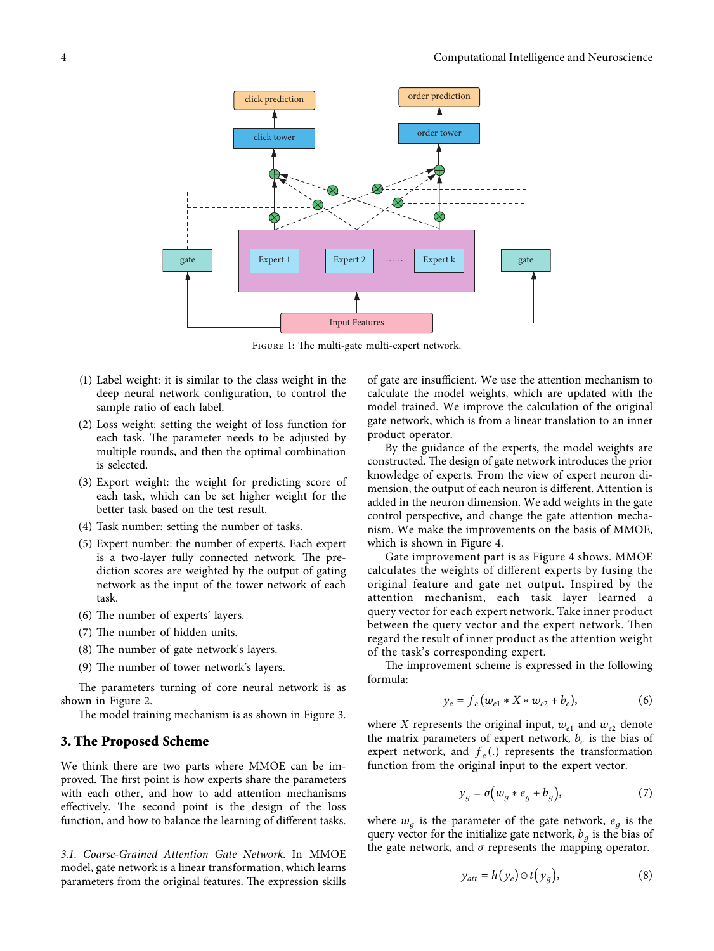<span id="page-3-0"></span>

FIGURE 1: The multi-gate multi-expert network.

- (1) Label weight: it is similar to the class weight in the deep neural network configuration, to control the sample ratio of each label.
- (2) Loss weight: setting the weight of loss function for each task. The parameter needs to be adjusted by multiple rounds, and then the optimal combination is selected.
- (3) Export weight: the weight for predicting score of each task, which can be set higher weight for the better task based on the test result.
- (4) Task number: setting the number of tasks.
- (5) Expert number: the number of experts. Each expert is a two-layer fully connected network. The prediction scores are weighted by the output of gating network as the input of the tower network of each task.
- $(6)$  The number of experts' layers.
- (7) The number of hidden units.
- (8) The number of gate network's layers.
- $(9)$  The number of tower network's layers.

The parameters turning of core neural network is as shown in Figure [2.](#page-4-0)

The model training mechanism is as shown in Figure [3.](#page-4-0)

## **3. The Proposed Scheme**

We think there are two parts where MMOE can be improved. The first point is how experts share the parameters with each other, and how to add attention mechanisms effectively. The second point is the design of the loss function, and how to balance the learning of different tasks.

*3.1. Coarse-Grained Attention Gate Network.* In MMOE model, gate network is a linear transformation, which learns parameters from the original features. The expression skills of gate are insufficient. We use the attention mechanism to calculate the model weights, which are updated with the model trained. We improve the calculation of the original gate network, which is from a linear translation to an inner product operator.

By the guidance of the experts, the model weights are constructed. The design of gate network introduces the prior knowledge of experts. From the view of expert neuron dimension, the output of each neuron is different. Attention is added in the neuron dimension. We add weights in the gate control perspective, and change the gate attention mechanism. We make the improvements on the basis of MMOE, which is shown in Figure [4](#page-5-0).

Gate improvement part is as Figure [4](#page-5-0) shows. MMOE calculates the weights of different experts by fusing the original feature and gate net output. Inspired by the attention mechanism, each task layer learned a query vector for each expert network. Take inner product between the query vector and the expert network. Then regard the result of inner product as the attention weight of the task's corresponding expert.

The improvement scheme is expressed in the following formula:

$$
y_e = f_e(w_{e1} * X * w_{e2} + b_e),
$$
 (6)

where *X* represents the original input,  $w_{e1}$  and  $w_{e2}$  denote the matrix parameters of expert network,  $b_e$  is the bias of expert network, and  $f_e(.)$  represents the transformation function from the original input to the expert vector.

$$
y_g = \sigma \big( w_g * e_g + b_g \big), \tag{7}
$$

where  $w_g$  is the parameter of the gate network,  $e_g$  is the query vector for the initialize gate network,  $b<sub>q</sub>$  is the bias of the gate network, and  $\sigma$  represents the mapping operator.

$$
y_{att} = h(y_e) \odot t(y_g), \tag{8}
$$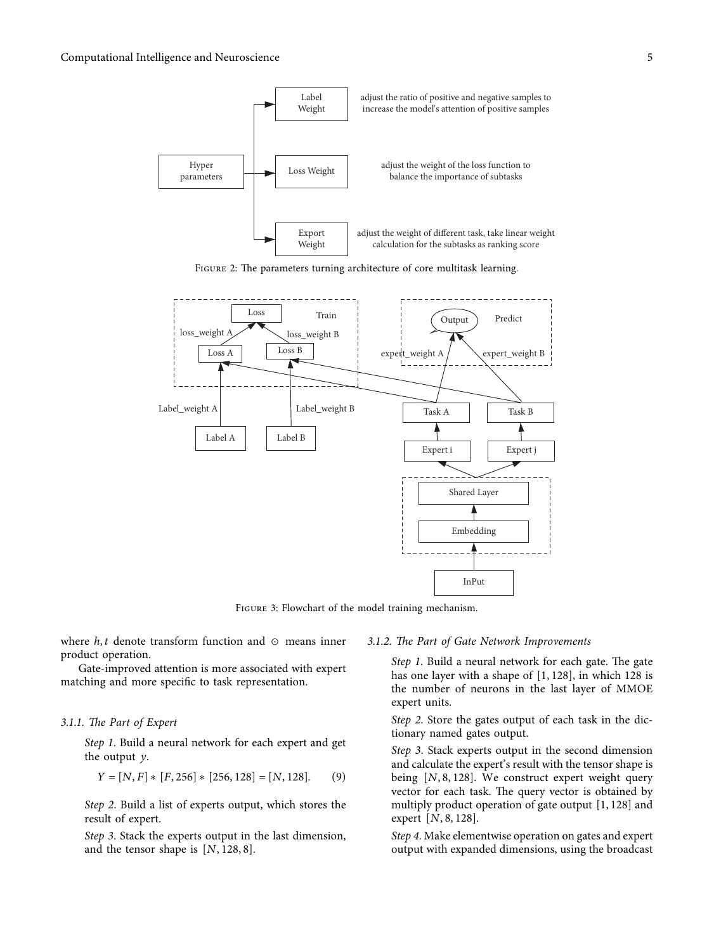<span id="page-4-0"></span>





Figure 3: Flowchart of the model training mechanism.

where *h, t* denote transform function and ⊙ means inner product operation.

Gate-improved attention is more associated with expert matching and more specific to task representation.

#### *3.1.1. 4e Part of Expert*

*Step 1*. Build a neural network for each expert and get the output *y*.

$$
Y = [N, F] * [F, 256] * [256, 128] = [N, 128].
$$
 (9)

*Step 2*. Build a list of experts output, which stores the result of expert.

*Step 3*. Stack the experts output in the last dimension, and the tensor shape is [*N,* 128*,* 8].

#### *3.1.2. 4e Part of Gate Network Improvements*

*Step 1*. Build a neural network for each gate. The gate has one layer with a shape of [1*,* 128], in which 128 is the number of neurons in the last layer of MMOE expert units.

*Step 2*. Store the gates output of each task in the dictionary named gates output.

*Step 3*. Stack experts output in the second dimension and calculate the expert's result with the tensor shape is being [*N,* 8*,* 128]. We construct expert weight query vector for each task. The query vector is obtained by multiply product operation of gate output [1*,* 128] and expert [*N,* 8*,* 128].

*Step 4*. Make elementwise operation on gates and expert output with expanded dimensions, using the broadcast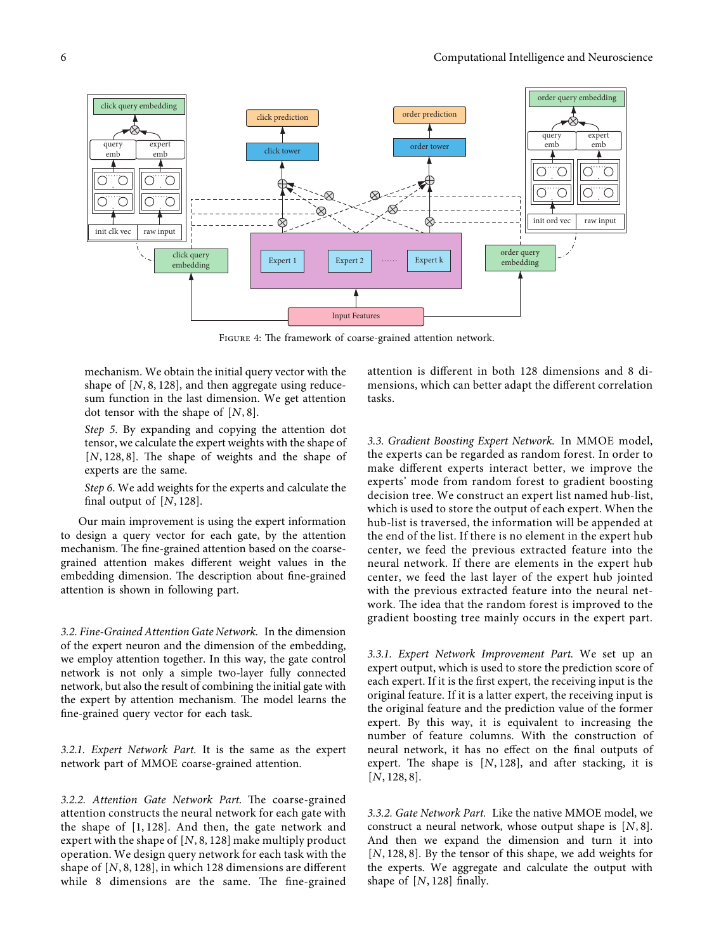<span id="page-5-0"></span>

FIGURE 4: The framework of coarse-grained attention network.

mechanism. We obtain the initial query vector with the shape of [*N,* 8*,* 128], and then aggregate using reducesum function in the last dimension. We get attention dot tensor with the shape of [*N,* 8].

*Step 5*. By expanding and copying the attention dot tensor, we calculate the expert weights with the shape of [*N*, 128, 8]. The shape of weights and the shape of experts are the same.

*Step 6*. We add weights for the experts and calculate the final output of [*N,* 128].

Our main improvement is using the expert information to design a query vector for each gate, by the attention mechanism. The fine-grained attention based on the coarsegrained attention makes different weight values in the embedding dimension. The description about fine-grained attention is shown in following part.

*3.2. Fine-Grained Attention Gate Network.* In the dimension of the expert neuron and the dimension of the embedding, we employ attention together. In this way, the gate control network is not only a simple two-layer fully connected network, but also the result of combining the initial gate with the expert by attention mechanism. The model learns the fine-grained query vector for each task.

*3.2.1. Expert Network Part.* It is the same as the expert network part of MMOE coarse-grained attention.

3.2.2. Attention Gate Network Part. The coarse-grained attention constructs the neural network for each gate with the shape of [1*,* 128]. And then, the gate network and expert with the shape of [*N,* 8*,* 128] make multiply product operation. We design query network for each task with the shape of [*N,* 8*,* 128], in which 128 dimensions are different while 8 dimensions are the same. The fine-grained

attention is different in both 128 dimensions and 8 dimensions, which can better adapt the different correlation tasks.

*3.3. Gradient Boosting Expert Network.* In MMOE model, the experts can be regarded as random forest. In order to make different experts interact better, we improve the experts' mode from random forest to gradient boosting decision tree. We construct an expert list named hub-list, which is used to store the output of each expert. When the hub-list is traversed, the information will be appended at the end of the list. If there is no element in the expert hub center, we feed the previous extracted feature into the neural network. If there are elements in the expert hub center, we feed the last layer of the expert hub jointed with the previous extracted feature into the neural network. The idea that the random forest is improved to the gradient boosting tree mainly occurs in the expert part.

*3.3.1. Expert Network Improvement Part.* We set up an expert output, which is used to store the prediction score of each expert. If it is the first expert, the receiving input is the original feature. If it is a latter expert, the receiving input is the original feature and the prediction value of the former expert. By this way, it is equivalent to increasing the number of feature columns. With the construction of neural network, it has no effect on the final outputs of expert. The shape is  $[N, 128]$ , and after stacking, it is [*N,* 128*,* 8].

*3.3.2. Gate Network Part.* Like the native MMOE model, we construct a neural network, whose output shape is [*N,* 8]. And then we expand the dimension and turn it into [*N,* 128*,* 8]. By the tensor of this shape, we add weights for the experts. We aggregate and calculate the output with shape of  $[N, 128]$  finally.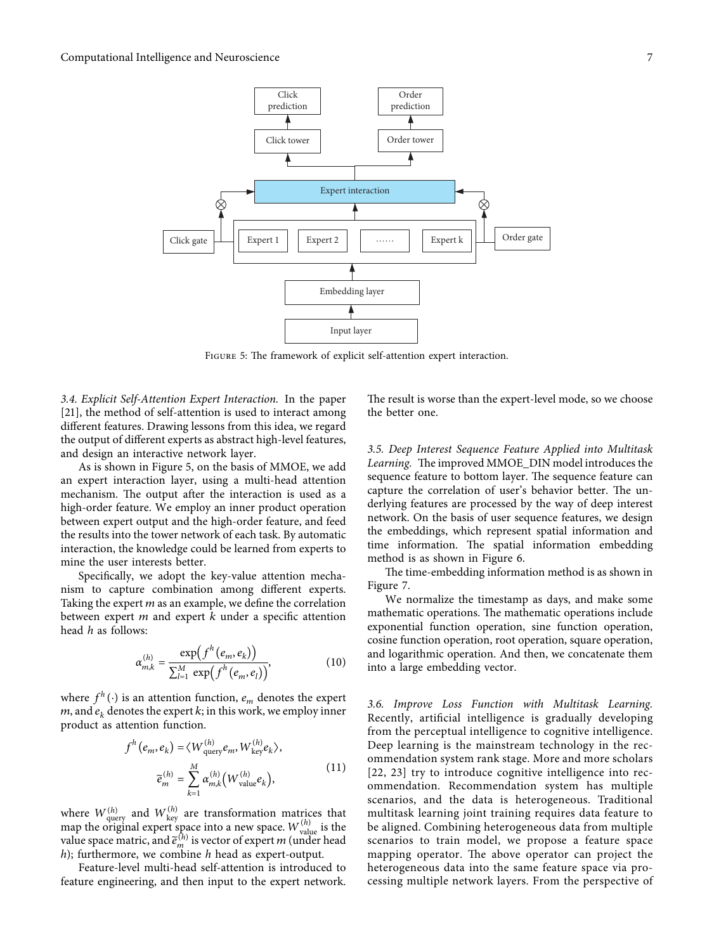

FIGURE 5: The framework of explicit self-attention expert interaction.

*3.4. Explicit Self-Attention Expert Interaction.* In the paper [\[21](#page-12-0)], the method of self-attention is used to interact among different features. Drawing lessons from this idea, we regard the output of different experts as abstract high-level features, and design an interactive network layer.

As is shown in Figure 5, on the basis of MMOE, we add an expert interaction layer, using a multi-head attention mechanism. The output after the interaction is used as a high-order feature. We employ an inner product operation between expert output and the high-order feature, and feed the results into the tower network of each task. By automatic interaction, the knowledge could be learned from experts to mine the user interests better.

Specifically, we adopt the key-value attention mechanism to capture combination among different experts. Taking the expert *m* as an example, we define the correlation between expert *m* and expert *k* under a specific attention head *h* as follows:

$$
\alpha_{m,k}^{(h)} = \frac{\exp(f^h(e_m, e_k))}{\sum_{l=1}^M \exp(f^h(e_m, e_l))},
$$
(10)

where  $f^h(\cdot)$  is an attention function,  $e_m$  denotes the expert  $m$ , and  $e_k$  denotes the expert  $k$ ; in this work, we employ inner product as attention function.

$$
f^{h}(e_{m}, e_{k}) = \langle W_{\text{query}}^{(h)} e_{m}, W_{\text{key}}^{(h)} e_{k} \rangle,
$$
  

$$
\tilde{e}_{m}^{(h)} = \sum_{k=1}^{M} \alpha_{m,k}^{(h)} \big( W_{\text{value}}^{(h)} e_{k} \big), \tag{11}
$$

where  $W_{\text{query}}^{(h)}$  and  $W_{\text{key}}^{(h)}$  are transformation matrices that map the original expert space into a new space.  $W_{\text{value}}^{(h)}$  is the value space matric, and  $\tilde{e}_m^{(h)}$  is vector of expert *m* (under head *h*); furthermore, we combine *h* head as expert-output.

Feature-level multi-head self-attention is introduced to feature engineering, and then input to the expert network.

The result is worse than the expert-level mode, so we choose the better one.

*3.5. Deep Interest Sequence Feature Applied into Multitask* Learning. The improved MMOE\_DIN model introduces the sequence feature to bottom layer. The sequence feature can capture the correlation of user's behavior better. The underlying features are processed by the way of deep interest network. On the basis of user sequence features, we design the embeddings, which represent spatial information and time information. The spatial information embedding method is as shown in Figure [6](#page-7-0).

The time-embedding information method is as shown in Figure [7.](#page-7-0)

We normalize the timestamp as days, and make some mathematic operations. The mathematic operations include exponential function operation, sine function operation, cosine function operation, root operation, square operation, and logarithmic operation. And then, we concatenate them into a large embedding vector.

*3.6. Improve Loss Function with Multitask Learning.* Recently, artificial intelligence is gradually developing from the perceptual intelligence to cognitive intelligence. Deep learning is the mainstream technology in the recommendation system rank stage. More and more scholars [[22, 23\]](#page-12-0) try to introduce cognitive intelligence into recommendation. Recommendation system has multiple scenarios, and the data is heterogeneous. Traditional multitask learning joint training requires data feature to be aligned. Combining heterogeneous data from multiple scenarios to train model, we propose a feature space mapping operator. The above operator can project the heterogeneous data into the same feature space via processing multiple network layers. From the perspective of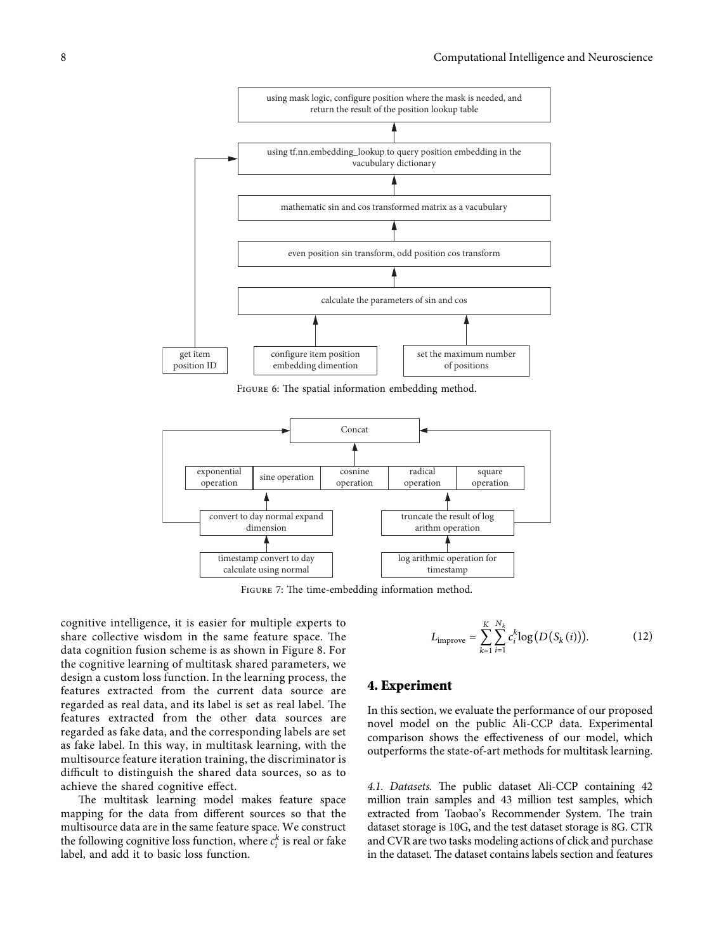<span id="page-7-0"></span>

FIGURE 6: The spatial information embedding method.



FIGURE 7: The time-embedding information method.

cognitive intelligence, it is easier for multiple experts to share collective wisdom in the same feature space. The data cognition fusion scheme is as shown in Figure [8.](#page-8-0) For the cognitive learning of multitask shared parameters, we design a custom loss function. In the learning process, the features extracted from the current data source are regarded as real data, and its label is set as real label. The features extracted from the other data sources are regarded as fake data, and the corresponding labels are set as fake label. In this way, in multitask learning, with the multisource feature iteration training, the discriminator is difficult to distinguish the shared data sources, so as to achieve the shared cognitive effect.

The multitask learning model makes feature space mapping for the data from different sources so that the multisource data are in the same feature space. We construct the following cognitive loss function, where  $c_i^k$  is real or fake label, and add it to basic loss function.

$$
L_{\text{improve}} = \sum_{k=1}^{K} \sum_{i=1}^{N_k} c_i^k \log(D(S_k(i))). \tag{12}
$$

## **4. Experiment**

In this section, we evaluate the performance of our proposed novel model on the public Ali-CCP data. Experimental comparison shows the effectiveness of our model, which outperforms the state-of-art methods for multitask learning.

4.1. Datasets. The public dataset Ali-CCP containing 42 million train samples and 43 million test samples, which extracted from Taobao's Recommender System. The train dataset storage is 10G, and the test dataset storage is 8G. CTR and CVR are two tasks modeling actions of click and purchase in the dataset. The dataset contains labels section and features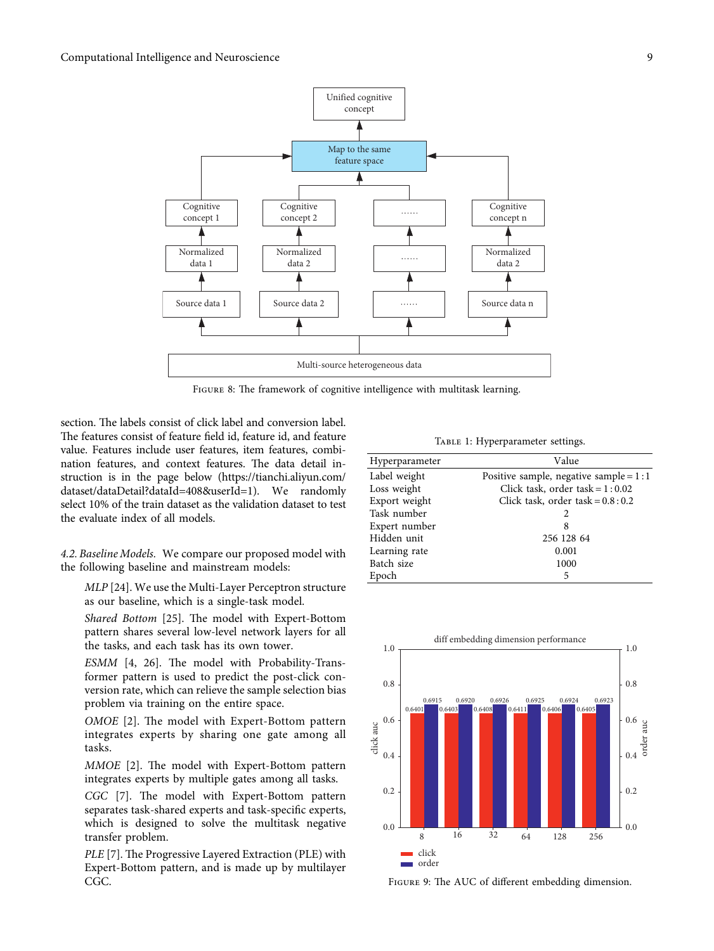<span id="page-8-0"></span>

FIGURE 8: The framework of cognitive intelligence with multitask learning.

section. The labels consist of click label and conversion label. The features consist of feature field id, feature id, and feature value. Features include user features, item features, combination features, and context features. The data detail instruction is in the page below ([https://tianchi.aliyun.com/](https://tianchi.aliyun.com/dataset/dataDetail?dataId=408&userId=1) [dataset/dataDetail?dataId](https://tianchi.aliyun.com/dataset/dataDetail?dataId=408&userId=1)=408&userId=1). We randomly select 10% of the train dataset as the validation dataset to test the evaluate index of all models.

*4.2. Baseline Models.* We compare our proposed model with the following baseline and mainstream models:

*MLP* [\[24\]](#page-12-0). We use the Multi-Layer Perceptron structure as our baseline, which is a single-task model.

*Shared Bottom* [[25](#page-12-0)]. The model with Expert-Bottom pattern shares several low-level network layers for all the tasks, and each task has its own tower.

*ESMM* [\[4, 26](#page-12-0)]. The model with Probability-Transformer pattern is used to predict the post-click conversion rate, which can relieve the sample selection bias problem via training on the entire space.

*OMOE* [\[2\]](#page-12-0). The model with Expert-Bottom pattern integrates experts by sharing one gate among all tasks.

*MMOE* [\[2](#page-12-0)]. The model with Expert-Bottom pattern integrates experts by multiple gates among all tasks.

*CGC* [[7](#page-12-0)]. The model with Expert-Bottom pattern separates task-shared experts and task-specific experts, which is designed to solve the multitask negative transfer problem.

*PLE* [[7\]](#page-12-0). The Progressive Layered Extraction (PLE) with Expert-Bottom pattern, and is made up by multilayer CGC.

TABLE 1: Hyperparameter settings.

| Hyperparameter | Value                                    |
|----------------|------------------------------------------|
| Label weight   | Positive sample, negative sample = $1:1$ |
| Loss weight    | Click task, order task = $1:0.02$        |
| Export weight  | Click task, order task = $0.8:0.2$       |
| Task number    | 2                                        |
| Expert number  | 8                                        |
| Hidden unit    | 256 128 64                               |
| Learning rate  | 0.001                                    |
| Batch size     | 1000                                     |
| Epoch          | 5                                        |



FIGURE 9: The AUC of different embedding dimension.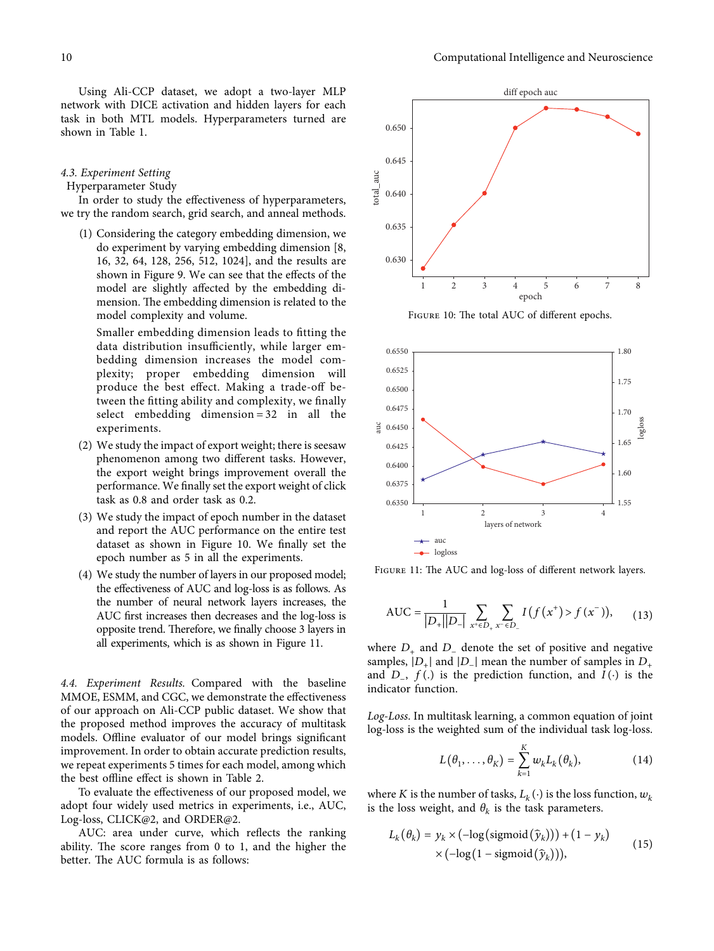Using Ali-CCP dataset, we adopt a two-layer MLP network with DICE activation and hidden layers for each task in both MTL models. Hyperparameters turned are shown in Table [1.](#page-8-0)

#### *4.3. Experiment Setting*

Hyperparameter Study

In order to study the effectiveness of hyperparameters, we try the random search, grid search, and anneal methods.

(1) Considering the category embedding dimension, we do experiment by varying embedding dimension [8, 16, 32, 64, 128, 256, 512, 1024], and the results are shown in Figure [9.](#page-8-0) We can see that the effects of the model are slightly affected by the embedding dimension. The embedding dimension is related to the model complexity and volume.

Smaller embedding dimension leads to fitting the data distribution insufficiently, while larger embedding dimension increases the model complexity; proper embedding dimension will produce the best effect. Making a trade-off between the fitting ability and complexity, we finally select embedding dimension  $= 32$  in all the experiments.

- (2) We study the impact of export weight; there is seesaw phenomenon among two different tasks. However, the export weight brings improvement overall the performance. We finally set the export weight of click task as 0.8 and order task as 0.2.
- (3) We study the impact of epoch number in the dataset and report the AUC performance on the entire test dataset as shown in Figure 10. We finally set the epoch number as 5 in all the experiments.
- (4) We study the number of layers in our proposed model; the effectiveness of AUC and log-loss is as follows. As the number of neural network layers increases, the AUC first increases then decreases and the log-loss is opposite trend. Therefore, we finally choose 3 layers in all experiments, which is as shown in Figure 11.

*4.4. Experiment Results.* Compared with the baseline MMOE, ESMM, and CGC, we demonstrate the effectiveness of our approach on Ali-CCP public dataset. We show that the proposed method improves the accuracy of multitask models. Offline evaluator of our model brings significant improvement. In order to obtain accurate prediction results, we repeat experiments 5 times for each model, among which the best offline effect is shown in Table [2.](#page-10-0)

To evaluate the effectiveness of our proposed model, we adopt four widely used metrics in experiments, i.e., AUC, Log-loss, CLICK@2, and ORDER@2.

AUC: area under curve, which reflects the ranking ability. The score ranges from  $0$  to 1, and the higher the better. The AUC formula is as follows:



FIGURE 10: The total AUC of different epochs.



FIGURE 11: The AUC and log-loss of different network layers.

AUC = 
$$
\frac{1}{|D_{+}||D_{-}|} \sum_{x^+ \in D_{+}} \sum_{x^- \in D_{-}} I(f(x^+) > f(x^-)),
$$
 (13)

where  $D_+$  and  $D_-$  denote the set of positive and negative samples,  $|D_+|$  and  $|D_-|$  mean the number of samples in  $D_+$ and *D*−, *f*(*.*) is the prediction function, and *I*(·) is the indicator function.

*Log-Loss*. In multitask learning, a common equation of joint log-loss is the weighted sum of the individual task log-loss.

$$
L(\theta_1,\ldots,\theta_K)=\sum_{k=1}^K w_k L_k(\theta_k),\qquad (14)
$$

where *K* is the number of tasks,  $L_k(\cdot)$  is the loss function,  $w_k$ is the loss weight, and  $\theta_k$  is the task parameters.

$$
L_k(\theta_k) = y_k \times (-\log(\text{sigmoid}(\hat{y}_k))) + (1 - y_k)
$$
  
 
$$
\times (-\log(1 - \text{sigmoid}(\hat{y}_k))), \tag{15}
$$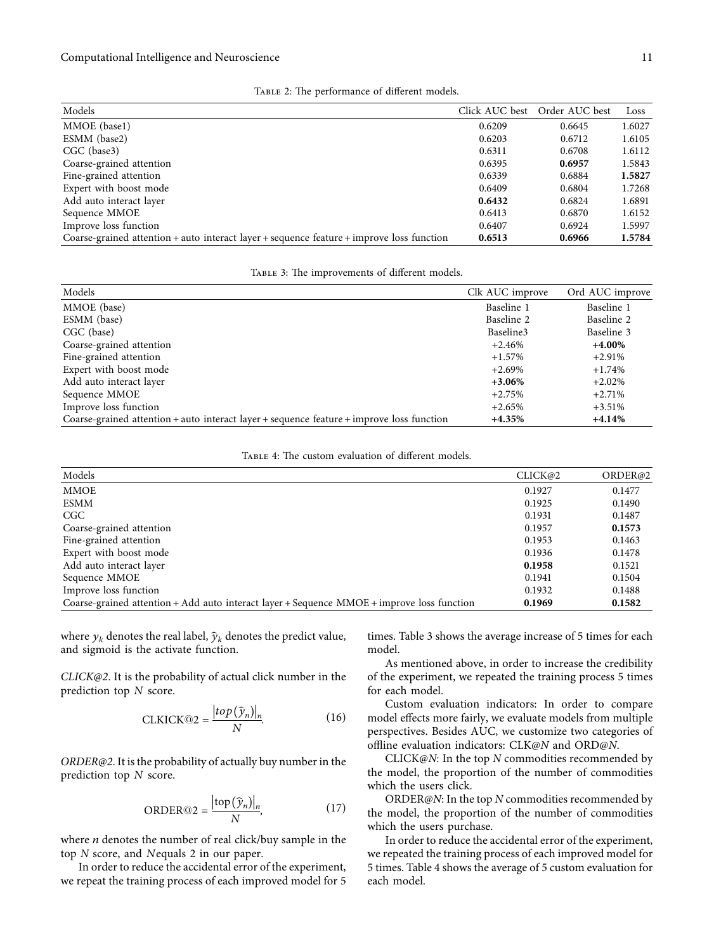<span id="page-10-0"></span>

| Models                                                                                    | Click AUC best | Order AUC best | Loss   |
|-------------------------------------------------------------------------------------------|----------------|----------------|--------|
| MMOE (base1)                                                                              | 0.6209         | 0.6645         | 1.6027 |
| ESMM (base2)                                                                              | 0.6203         | 0.6712         | 1.6105 |
| $CGC$ (base3)                                                                             | 0.6311         | 0.6708         | 1.6112 |
| Coarse-grained attention                                                                  | 0.6395         | 0.6957         | 1.5843 |
| Fine-grained attention                                                                    | 0.6339         | 0.6884         | 1.5827 |
| Expert with boost mode                                                                    | 0.6409         | 0.6804         | 1.7268 |
| Add auto interact layer                                                                   | 0.6432         | 0.6824         | 1.6891 |
| Sequence MMOE                                                                             | 0.6413         | 0.6870         | 1.6152 |
| Improve loss function                                                                     | 0.6407         | 0.6924         | 1.5997 |
| Coarse-grained attention + auto interact layer + sequence feature + improve loss function | 0.6513         | 0.6966         | 1.5784 |
|                                                                                           |                |                |        |

|  |  | TABLE 2: The performance of different models. |
|--|--|-----------------------------------------------|
|--|--|-----------------------------------------------|

TABLE 3: The improvements of different models.

| Models                                                                                    | Clk AUC improve | Ord AUC improve |
|-------------------------------------------------------------------------------------------|-----------------|-----------------|
| MMOE (base)                                                                               | Baseline 1      | Baseline 1      |
| ESMM (base)                                                                               | Baseline 2      | Baseline 2      |
| CGC (base)                                                                                | Baseline3       | Baseline 3      |
| Coarse-grained attention                                                                  | $+2.46%$        | $+4.00\%$       |
| Fine-grained attention                                                                    | $+1.57%$        | $+2.91%$        |
| Expert with boost mode                                                                    | $+2.69%$        | $+1.74\%$       |
| Add auto interact layer                                                                   | $+3.06%$        | $+2.02%$        |
| Sequence MMOE                                                                             | $+2.75%$        | $+2.71%$        |
| Improve loss function                                                                     | $+2.65%$        | $+3.51\%$       |
| Coarse-grained attention + auto interact layer + sequence feature + improve loss function | $+4.35%$        | $+4.14%$        |

TABLE 4: The custom evaluation of different models.

| <b>MMOE</b><br>0.1477<br>0.1927                                                                                |
|----------------------------------------------------------------------------------------------------------------|
|                                                                                                                |
| <b>ESMM</b><br>0.1925<br>0.1490                                                                                |
| CGC<br>0.1931<br>0.1487                                                                                        |
| Coarse-grained attention<br>0.1957<br>0.1573                                                                   |
| Fine-grained attention<br>0.1953<br>0.1463                                                                     |
| Expert with boost mode<br>0.1936<br>0.1478                                                                     |
| Add auto interact layer<br>0.1958<br>0.1521                                                                    |
| Sequence MMOE<br>0.1941<br>0.1504                                                                              |
| Improve loss function<br>0.1932<br>0.1488                                                                      |
| Coarse-grained attention + Add auto interact layer + Sequence MMOE + improve loss function<br>0.1582<br>0.1969 |

where  $y_k$  denotes the real label,  $\hat{y}_k$  denotes the predict value, and sigmoid is the activate function.

*CLICK@2*. It is the probability of actual click number in the prediction top *N* score.

$$
CLKICK@2 = \frac{|top(\hat{y}_n)|_n}{N}.
$$
 (16)

*ORDER@2*. It is the probability of actually buy number in the prediction top *N* score.

ORDER@2 = 
$$
\frac{|\text{top}(\hat{y}_n)|_n}{N}
$$
, (17)

where *n* denotes the number of real click/buy sample in the top *N* score, and *N*equals 2 in our paper.

In order to reduce the accidental error of the experiment, we repeat the training process of each improved model for 5

times. Table 3 shows the average increase of 5 times for each model.

As mentioned above, in order to increase the credibility of the experiment, we repeated the training process 5 times for each model.

Custom evaluation indicators: In order to compare model effects more fairly, we evaluate models from multiple perspectives. Besides AUC, we customize two categories of offline evaluation indicators: CLK@*N* and ORD@*N*.

CLICK@*N*: In the top *N* commodities recommended by the model, the proportion of the number of commodities which the users click.

ORDER@*N*: In the top *N* commodities recommended by the model, the proportion of the number of commodities which the users purchase.

In order to reduce the accidental error of the experiment, we repeated the training process of each improved model for 5 times. Table 4 shows the average of 5 custom evaluation for each model.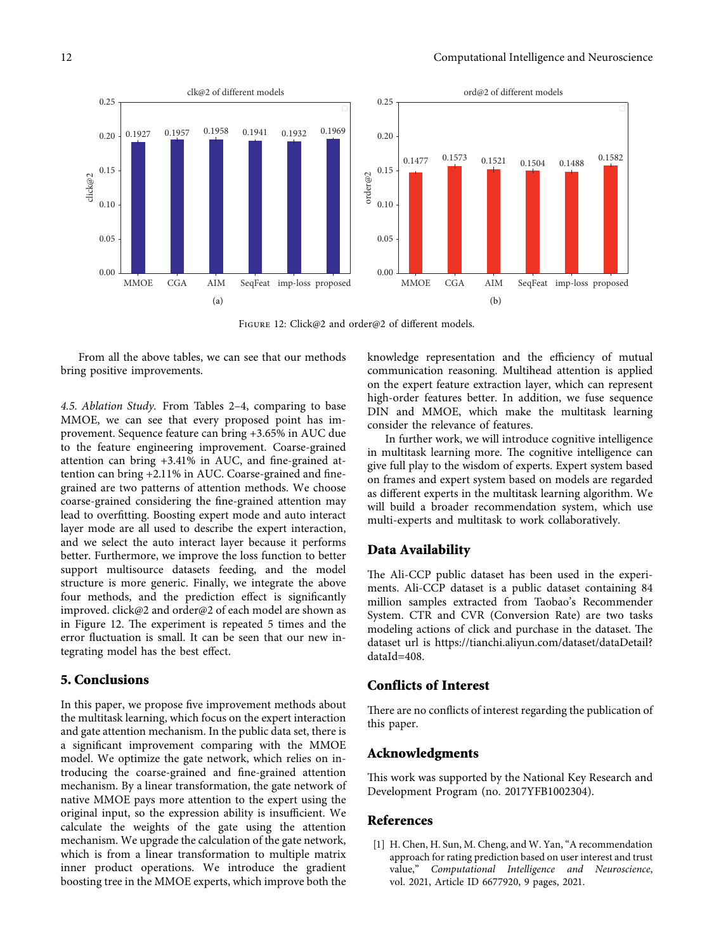<span id="page-11-0"></span>

FIGURE 12: Click@2 and order@2 of different models.

From all the above tables, we can see that our methods bring positive improvements.

*4.5. Ablation Study.* From Tables [2–4](#page-10-0), comparing to base MMOE, we can see that every proposed point has improvement. Sequence feature can bring +3.65% in AUC due to the feature engineering improvement. Coarse-grained attention can bring +3.41% in AUC, and fine-grained attention can bring +2.11% in AUC. Coarse-grained and finegrained are two patterns of attention methods. We choose coarse-grained considering the fine-grained attention may lead to overfitting. Boosting expert mode and auto interact layer mode are all used to describe the expert interaction, and we select the auto interact layer because it performs better. Furthermore, we improve the loss function to better support multisource datasets feeding, and the model structure is more generic. Finally, we integrate the above four methods, and the prediction effect is significantly improved. click@2 and order@2 of each model are shown as in Figure 12. The experiment is repeated 5 times and the error fluctuation is small. It can be seen that our new integrating model has the best effect.

## **5. Conclusions**

In this paper, we propose five improvement methods about the multitask learning, which focus on the expert interaction and gate attention mechanism. In the public data set, there is a significant improvement comparing with the MMOE model. We optimize the gate network, which relies on introducing the coarse-grained and fine-grained attention mechanism. By a linear transformation, the gate network of native MMOE pays more attention to the expert using the original input, so the expression ability is insufficient. We calculate the weights of the gate using the attention mechanism. We upgrade the calculation of the gate network, which is from a linear transformation to multiple matrix inner product operations. We introduce the gradient boosting tree in the MMOE experts, which improve both the

knowledge representation and the efficiency of mutual communication reasoning. Multihead attention is applied on the expert feature extraction layer, which can represent high-order features better. In addition, we fuse sequence DIN and MMOE, which make the multitask learning consider the relevance of features.

In further work, we will introduce cognitive intelligence in multitask learning more. The cognitive intelligence can give full play to the wisdom of experts. Expert system based on frames and expert system based on models are regarded as different experts in the multitask learning algorithm. We will build a broader recommendation system, which use multi-experts and multitask to work collaboratively.

## **Data Availability**

The Ali-CCP public dataset has been used in the experiments. Ali-CCP dataset is a public dataset containing 84 million samples extracted from Taobao's Recommender System. CTR and CVR (Conversion Rate) are two tasks modeling actions of click and purchase in the dataset. The dataset url is [https://tianchi.aliyun.com/dataset/dataDetail?](https://tianchi.aliyun.com/dataset/dataDetail?dataId=408) [dataId](https://tianchi.aliyun.com/dataset/dataDetail?dataId=408)=408.

## **Conflicts of Interest**

There are no conflicts of interest regarding the publication of this paper.

### **Acknowledgments**

This work was supported by the National Key Research and Development Program (no. 2017YFB1002304).

## **References**

[1] H. Chen, H. Sun, M. Cheng, and W. Yan, "A recommendation approach for rating prediction based on user interest and trust value," *Computational Intelligence and Neuroscience*, vol. 2021, Article ID 6677920, 9 pages, 2021.